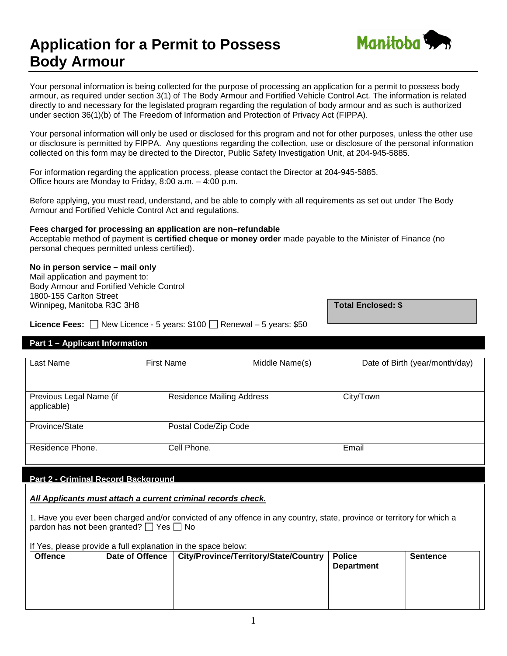# **Application for a Permit to Possess Body Armour**



Your personal information is being collected for the purpose of processing an application for a permit to possess body armour, as required under section 3(1) of The Body Armour and Fortified Vehicle Control Act*.* The information is related directly to and necessary for the legislated program regarding the regulation of body armour and as such is authorized under section 36(1)(b) of The Freedom of Information and Protection of Privacy Act (FIPPA).

Your personal information will only be used or disclosed for this program and not for other purposes, unless the other use or disclosure is permitted by FIPPA. Any questions regarding the collection, use or disclosure of the personal information collected on this form may be directed to the Director, Public Safety Investigation Unit, at 204-945-5885.

For information regarding the application process, please contact the Director at 204-945-5885. Office hours are Monday to Friday, 8:00 a.m. – 4:00 p.m.

Before applying, you must read, understand, and be able to comply with all requirements as set out under The Body Armour and Fortified Vehicle Control Act and regulations.

### **Fees charged for processing an application are non–refundable**

Acceptable method of payment is **certified cheque or money order** made payable to the Minister of Finance (no personal cheques permitted unless certified).

## **No in person service – mail only**

Mail application and payment to: Body Armour and Fortified Vehicle Control 1800-155 Carlton Street Winnipeg, Manitoba R3C 3H8 **Total Enclosed: \$ Total Enclosed: \$** 

**Licence Fees:**  $\Box$  New Licence - 5 years: \$100  $\Box$  Renewal – 5 years: \$50

## **Part 1 – Applicant Information**

| Last Name                              | <b>First Name</b>                | Middle Name(s) | Date of Birth (year/month/day) |
|----------------------------------------|----------------------------------|----------------|--------------------------------|
| Previous Legal Name (if<br>applicable) | <b>Residence Mailing Address</b> |                | City/Town                      |
| Province/State                         | Postal Code/Zip Code             |                |                                |
| Residence Phone.                       | Cell Phone.                      |                | Email                          |

## **Part 2 - Criminal Record Background**

*All Applicants must attach a current criminal records check.*

1. Have you ever been charged and/or convicted of any offence in any country, state, province or territory for which a pardon has **not** been granted?  $\Box$  Yes  $\Box$  No

| <b>Offence</b> | Date of Offence   City/Province/Territory/State/Country | <b>Police</b><br><b>Department</b> | <b>Sentence</b> |
|----------------|---------------------------------------------------------|------------------------------------|-----------------|
|                |                                                         |                                    |                 |
|                |                                                         |                                    |                 |
|                |                                                         |                                    |                 |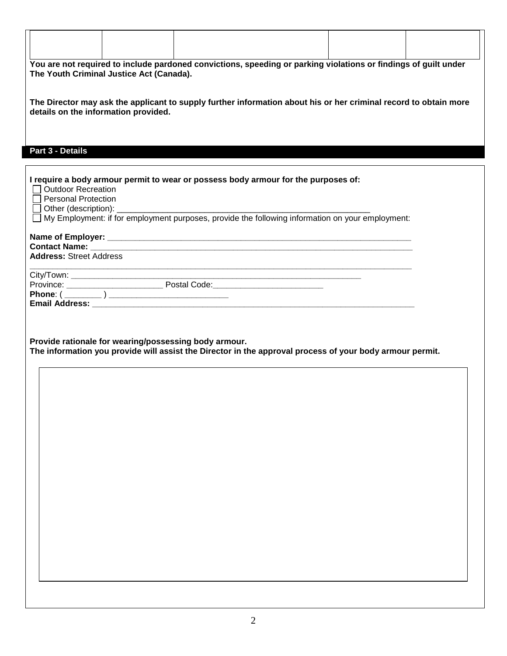| You are not required to include pardoned convictions, speeding or parking violations or findings of guilt under<br>The Director may ask the applicant to supply further information about his or her criminal record to obtain more<br>Part 3 - Details<br><b>Outdoor Recreation</b><br><b>Personal Protection</b><br>Other (description):<br>⊔<br>City/Town:<br>Province: Province: Postal Code: Phone (2004)<br>Provide rationale for wearing/possessing body armour. |                                                                                                          |  |
|-------------------------------------------------------------------------------------------------------------------------------------------------------------------------------------------------------------------------------------------------------------------------------------------------------------------------------------------------------------------------------------------------------------------------------------------------------------------------|----------------------------------------------------------------------------------------------------------|--|
|                                                                                                                                                                                                                                                                                                                                                                                                                                                                         | The Youth Criminal Justice Act (Canada).                                                                 |  |
|                                                                                                                                                                                                                                                                                                                                                                                                                                                                         | details on the information provided.                                                                     |  |
|                                                                                                                                                                                                                                                                                                                                                                                                                                                                         |                                                                                                          |  |
|                                                                                                                                                                                                                                                                                                                                                                                                                                                                         |                                                                                                          |  |
|                                                                                                                                                                                                                                                                                                                                                                                                                                                                         | I require a body armour permit to wear or possess body armour for the purposes of:                       |  |
|                                                                                                                                                                                                                                                                                                                                                                                                                                                                         | $\Box$                                                                                                   |  |
|                                                                                                                                                                                                                                                                                                                                                                                                                                                                         | My Employment: if for employment purposes, provide the following information on your employment:         |  |
|                                                                                                                                                                                                                                                                                                                                                                                                                                                                         |                                                                                                          |  |
|                                                                                                                                                                                                                                                                                                                                                                                                                                                                         | <b>Address: Street Address</b>                                                                           |  |
|                                                                                                                                                                                                                                                                                                                                                                                                                                                                         |                                                                                                          |  |
|                                                                                                                                                                                                                                                                                                                                                                                                                                                                         |                                                                                                          |  |
|                                                                                                                                                                                                                                                                                                                                                                                                                                                                         |                                                                                                          |  |
|                                                                                                                                                                                                                                                                                                                                                                                                                                                                         |                                                                                                          |  |
|                                                                                                                                                                                                                                                                                                                                                                                                                                                                         | The information you provide will assist the Director in the approval process of your body armour permit. |  |
|                                                                                                                                                                                                                                                                                                                                                                                                                                                                         |                                                                                                          |  |
|                                                                                                                                                                                                                                                                                                                                                                                                                                                                         |                                                                                                          |  |
|                                                                                                                                                                                                                                                                                                                                                                                                                                                                         |                                                                                                          |  |
|                                                                                                                                                                                                                                                                                                                                                                                                                                                                         |                                                                                                          |  |
|                                                                                                                                                                                                                                                                                                                                                                                                                                                                         |                                                                                                          |  |
|                                                                                                                                                                                                                                                                                                                                                                                                                                                                         |                                                                                                          |  |
|                                                                                                                                                                                                                                                                                                                                                                                                                                                                         |                                                                                                          |  |
|                                                                                                                                                                                                                                                                                                                                                                                                                                                                         |                                                                                                          |  |
|                                                                                                                                                                                                                                                                                                                                                                                                                                                                         |                                                                                                          |  |
|                                                                                                                                                                                                                                                                                                                                                                                                                                                                         |                                                                                                          |  |
|                                                                                                                                                                                                                                                                                                                                                                                                                                                                         |                                                                                                          |  |
|                                                                                                                                                                                                                                                                                                                                                                                                                                                                         |                                                                                                          |  |
|                                                                                                                                                                                                                                                                                                                                                                                                                                                                         |                                                                                                          |  |
|                                                                                                                                                                                                                                                                                                                                                                                                                                                                         |                                                                                                          |  |

Г